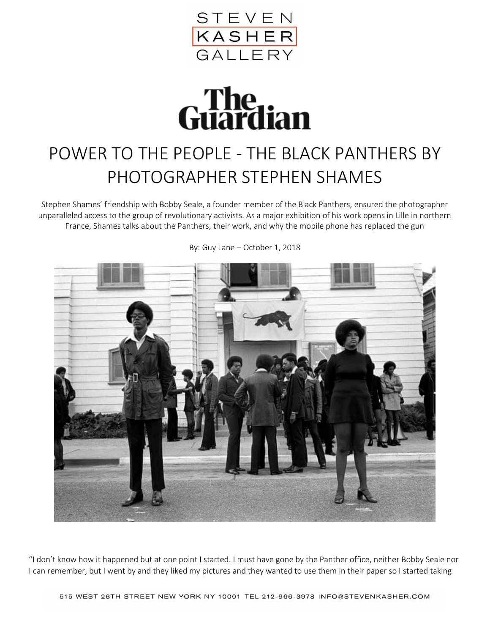

## **Guardian**

## POWER TO THE PEOPLE - THE BLACK PANTHERS BY PHOTOGRAPHER STEPHEN SHAMES

Stephen Shames' friendship with Bobby Seale, a founder member of the Black Panthers, ensured the photographer unparalleled access to the group of revolutionary activists. As a major exhibition of his work opens in Lille in northern France, Shames talks about the Panthers, their work, and why the mobile phone has replaced the gun



By: Guy Lane – October 1, 2018

"I don't know how it happened but at one point I started. I must have gone by the Panther office, neither Bobby Seale nor I can remember, but I went by and they liked my pictures and they wanted to use them in their paper so I started taking